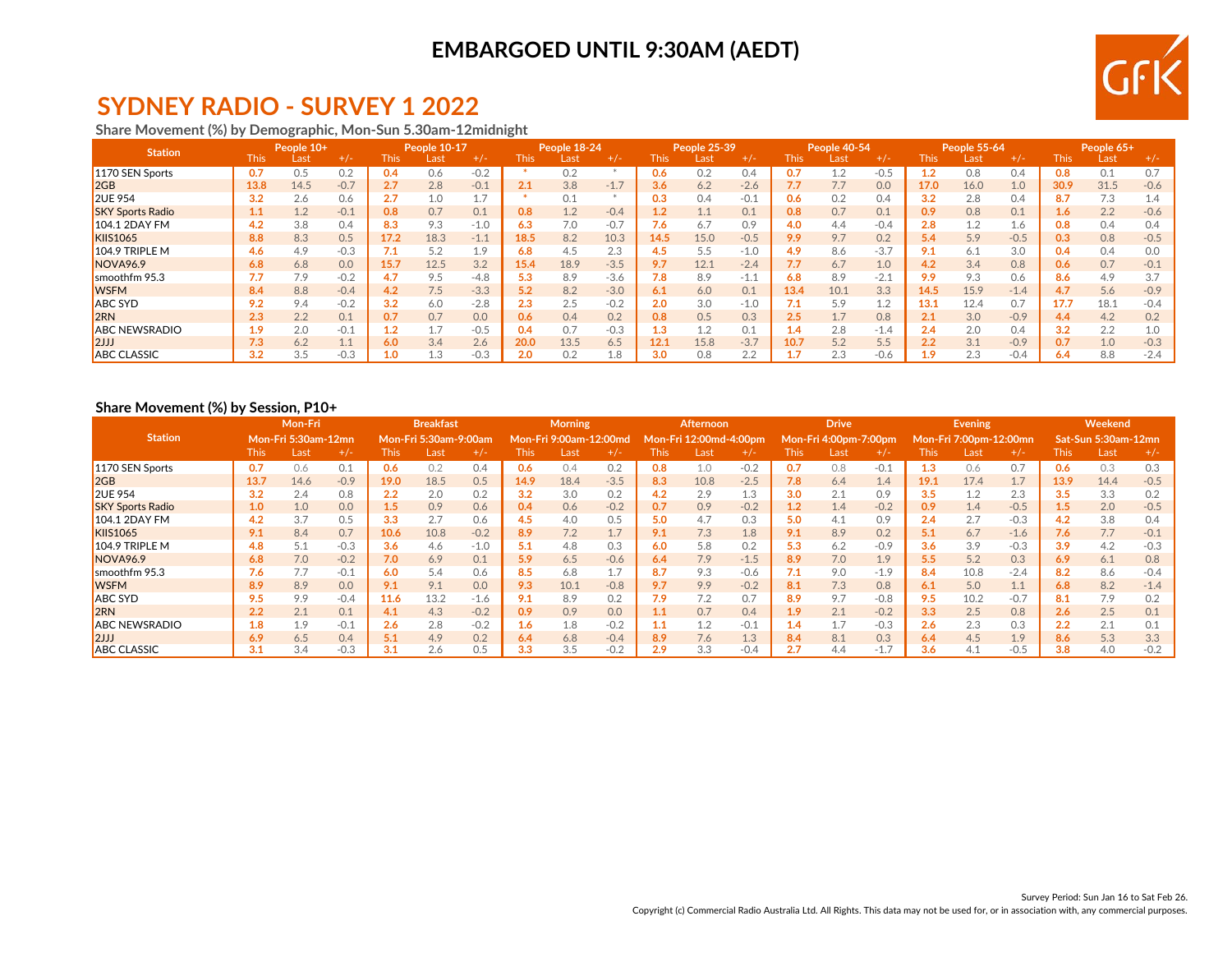### **EMBARGOED UNTIL 9:30AM (AEDT)**



# **SYDNEY RADIO - SURVEY 1 2022**

**Share Movement (%) by Demographic, Mon-Sun 5.30am-12midnight**

| <b>Station</b>          | People 10+  |      | People 10-17 |      |           | People 18-24 |       |      | People 25-39 |       | People 40-54 |        |      | People 55-64 |        |      | People 65+ |        |       |      |        |
|-------------------------|-------------|------|--------------|------|-----------|--------------|-------|------|--------------|-------|--------------|--------|------|--------------|--------|------|------------|--------|-------|------|--------|
|                         | <b>This</b> | Last | $+/-$        | This | Last      |              | This. | Last | $+/-$        | This. | Last         | $+/-$  | This | Las          | $+/-$  | This | Last       | $+/-$  | This. | Last | $+/-$  |
| 1170 SEN Sports         | 0.7         | 0.5  | 0.2          | 0.4  | 0.6       | $-0.2$       |       | 0.2  |              | 0.6   | 0.2          | 0.4    | 0.7  | 1.2          | $-0.5$ | 1.2  | 0.8        | 0.4    | 0.8   | 0.1  | 0.7    |
| 2GB                     | 13.8        | 14.5 | $-0.7$       | 2.7  | 2.8       | $-0.1$       | 2.1   | 3.8  | $-1.7$       | 3.6   | 6.2          | $-2.6$ | 7.7  | 7.7          | 0.0    | 17.0 | 16.0       | 1.0    | 30.9  | 31.5 | $-0.6$ |
| <b>2UE 954</b>          | 3.2         | 2.6  | 0.6          | 2.7  | 1.0       | 17           |       | 0.1  |              | 0.3   | 0.4          | $-0.1$ | 0.6  | 0.2          | 0.4    | 3.2  | 2.8        | 0.4    | 8.7   | 7.3  | 1.4    |
| <b>SKY Sports Radio</b> |             | 1.2  | $-0.1$       | 0.8  | 0.7       | 0.1          | 0.8   | 1.2  | $-0.4$       | 1.2   | 1.1          | 0.1    | 0.8  | 0.7          | 0.1    | 0.9  | 0.8        | 0.1    | 1.6   | 2.2  | $-0.6$ |
| <b>104.1 2DAY FM</b>    | 4.2         | 3.8  | 0.4          | 8.3  | 9.3       | $-1.0$       | 6.3   | 7.0  | $-0.7$       | 7.6   | 6.7          | 0.9    | 4.0  | 4.4          | $-0.4$ | 2.8  |            | 1.6    | 0.8   | 0.4  | 0.4    |
| <b>KIIS1065</b>         | 8.8         | 8.3  | 0.5          | 17.2 | 18.3      | $-1.1$       | 18.5  | 8.2  | 10.3         | 14.5  | 15.0         | $-0.5$ | 9.9  | 9.7          | 0.2    | 5.4  | 5.9        | $-0.5$ | 0.3   | 0.8  | $-0.5$ |
| $104.9$ TRIPLE M        | 4.6         | 4.9  | $-0.3$       | 7.1  | 5.2       | 1.9          | 6.8   | 4.5  | 2.3          | 4.5   | 5.5          | $-1.0$ | 4.9  | 8.6          | $-3.7$ | 9.1  | 6.1        | 3.0    | 0.4   | 0.4  | 0.0    |
| <b>NOVA96.9</b>         | 6.8         | 6.8  | 0.0          | 15.7 | 12.5      | 3.2          | 15.4  | 18.9 | $-3.5$       | 9.7   | 12.1         | $-2.4$ | 7.7  | 6.7          | 1.0    | 4.2  | 3.4        | 0.8    | 0.6   | 0.7  | $-0.1$ |
| smoothfm 95.3           |             | 7.9  | $-0.2$       | 4.7  | 9.5       | $-4.8$       | 5.3   | 8.9  | $-3.6$       | 7.8   | 8.9          | $-1.1$ | 6.8  | 8.9          | $-2.1$ | 9.9  | 9.3        | 0.6    | 8.6   | 4.9  | 3.7    |
| <b>WSFM</b>             | 8.4         | 8.8  | $-0.4$       | 4.2  | 7.5       | $-3.3$       | 5.2   | 8.2  | $-3.0$       | 6.1   | 6.0          | 0.1    | 13.4 | 10.1         | 3.3    | 14.5 | 15.9       | $-1.4$ | 4.7   | 5.6  | $-0.9$ |
| <b>ABC SYD</b>          | 9.2         | 9.4  | $-0.2$       | 3.2  | 6.0       | $-2.8$       | 2.3   |      | $-0.2$       | 2.0   | 3.0          | $-1.0$ | 7.1  | 5.9          | 1.2    | 13.1 | 12.4       | 0.7    | 17.7  | 18.1 | $-0.4$ |
| l2RN                    | 2.3         | 2.2  | 0.1          | 0.7  | 0.7       | 0.0          | 0.6   | 0.4  | 0.2          | 0.8   | 0.5          | 0.3    | 2.5  |              | 0.8    | 2.1  | 3.0        | $-0.9$ | 4.4   | 4.2  | 0.2    |
| <b>ABC NEWSRADIO</b>    | 1.9         | 2.0  | $-0.1$       |      |           | $-0.5$       | 0.4   | 0.7  | $-0.3$       | 1.3   | 1.2          | 0.1    | 1.4  | 2.8          | $-1.4$ | 2.4  | 2.0        | 0.4    | 3.2   | 2.2  | 1.0    |
| $\vert$ 2JJJ            | 7.3         | 6.2  |              | 6.0  | 3.4       | 2.6          | 20.0  | 13.5 | 6.5          | 12.1  | 15.8         | $-3.7$ | 10.7 | 5.2          | 5.5    | 2.2  | 3.1        | $-0.9$ | 0.7   | 1.0  | $-0.3$ |
| <b>ABC CLASSIC</b>      | 3.2         | 3.5  | $-0.3$       | 1.0  | $\cdot$ 3 | $-0.3$       | 2.0   | 0.2  | 1.8          | 3.0   | 0.8          | 2.2    |      | 2.3          | $-0.6$ | 1.9  | 2.3        | $-0.4$ | 6.4   | 8.8  | $-2.4$ |

### **Share Movement (%) by Session, P10+**

|                         | Mon-Fri     |                            |        | <b>Breakfast</b> |                       |        | <b>Morning</b> |                        |        | Afternoon |                  |         | <b>Drive</b> |                       |        | <b>Evening</b> |                        |        | Weekend |                     |        |
|-------------------------|-------------|----------------------------|--------|------------------|-----------------------|--------|----------------|------------------------|--------|-----------|------------------|---------|--------------|-----------------------|--------|----------------|------------------------|--------|---------|---------------------|--------|
| <b>Station</b>          |             | <b>Mon-Fri 5:30am-12mn</b> |        |                  | Mon-Fri 5:30am-9:00am |        |                | Mon-Fri 9:00am-12:00md |        |           | Mon-Fri 12:00md- | -4:00pm |              | Mon-Fri 4:00pm-7:00pm |        |                | Mon-Fri 7:00pm-12:00mn |        |         | Sat-Sun 5:30am-12mn |        |
|                         | <b>This</b> | Last                       | $+/-$  | <b>This</b>      | Last                  | $+/-$  | This           | Last                   | $+/-$  | This      | Last             | $+/-$   | <b>This</b>  | Last                  | $+/-$  | This           | Last                   | $+/-$  | This    | Last                | $+/-$  |
| 1170 SEN Sports         | 0.7         | 0.6                        | 0.1    | 0.6              | 0.2                   | 0.4    | 0.6            | 0.4                    | 0.2    | 0.8       | 1.0              | $-0.2$  | 0.7          | 0.8                   | $-0.1$ | 1.3            | 0.6                    | 0.7    | 0.6     | 0.3                 | 0.3    |
| 2GB                     | 13.7        | 14.6                       | $-0.9$ | 19.0             | 18.5                  | 0.5    | 14.9           | 18.4                   | $-3.5$ | 8.3       | 10.8             | $-2.5$  | 7.8          | 6.4                   | 1.4    | 19.1           | 17.4                   | 1.7    | 13.9    | 14.4                | $-0.5$ |
| <b>2UE 954</b>          | 3.2         | 2.4                        | 0.8    | 2.2              | 2.0                   | 0.2    | 3.2            | 3.0                    | 0.2    | 4.2       | 2.9              | 1.3     | 3.0          | 2.1                   | 0.9    | 3.5            | 1.2                    | 2.3    | 3.5     | 3.3                 | 0.2    |
| <b>SKY Sports Radio</b> | 1.0         | 1.0                        | 0.0    | 1.5              | 0.9                   | 0.6    | 0.4            | 0.6                    | $-0.2$ | 0.7       | 0.9              | $-0.2$  | 1.2          | 1.4                   | $-0.2$ | 0.9            | 1.4                    | $-0.5$ | $1.5\,$ | 2.0                 | $-0.5$ |
| 104.1 2DAY FM           | 4.2         | 3.7                        | 0.5    | 3.3              | 2.7                   | 0.6    | 4.5            | 4.0                    | 0.5    | 5.0       | 4.7              | 0.3     | 5.0          | 4.1                   | 0.9    | 2.4            | 2.7                    | $-0.3$ | 4.2     | 3.8                 | 0.4    |
| <b>KIIS1065</b>         | 9.1         | 8.4                        | 0.7    | 10.6             | 10.8                  | $-0.2$ | 8.9            | 7.2                    | 1.7    | 9.1       | 7.3              | 1.8     | 9.1          | 8.9                   | 0.2    | 5.1            | 6.7                    | $-1.6$ | 7.6     | 7.7                 | $-0.1$ |
| $104.9$ TRIPLE M        | 4.8         | 5.1                        | $-0.3$ | 3.6              | 4.6                   | $-1.0$ | 5.1            | 4.8                    | 0.3    | 6.0       | 5.8              | 0.2     | 5.3          | 6.2                   | $-0.9$ | 3.6            | 3.9                    | $-0.3$ | 3.9     | 4.2                 | $-0.3$ |
| NOVA <sub>96.9</sub>    | 6.8         | 7.0                        | $-0.2$ | 7.0              | 6.9                   | 0.1    | 5.9            | 6.5                    | $-0.6$ | 6.4       | 7.9              | $-1.5$  | 8.9          | 7.0                   | 1.9    | 5.5            | 5.2                    | 0.3    | 6.9     | 6.1                 | 0.8    |
| smoothfm 95.3           | 7.6         | 7.7                        | $-0.1$ | 6.0              | 5.4                   | 0.6    | 8.5            | 6.8                    | 1.7    | 8.7       | 9.3              | $-0.6$  | 7.1          | 9.0                   | $-1.9$ | 8.4            | 10.8                   | $-2.4$ | 8.2     | 8.6                 | $-0.4$ |
| <b>WSFM</b>             | 8.9         | 8.9                        | 0.0    | 9.1              | 9.1                   | 0.0    | 9.3            | 10.1                   | $-0.8$ | 9.7       | 9.9              | $-0.2$  | 8.1          | 7.3                   | 0.8    | 6.1            | 5.0                    | 1.1    | 6.8     | 8.2                 | $-1.4$ |
| <b>ABC SYD</b>          | 9.5         | 9.9                        | $-0.4$ | 11.6             | 13.2                  | $-1.6$ | 9.1            | 8.9                    | 0.2    | 7.9       | 7.2              | 0.7     | 8.9          | 9.7                   | $-0.8$ | 9.5            | 10.2                   | $-0.7$ | 8.1     | 7.9                 | 0.2    |
| 2RN                     | 2.2         | 2.1                        | 0.1    | 4.1              | 4.3                   | $-0.2$ | 0.9            | 0.9                    | 0.0    | 1.1       | 0.7              | 0.4     | 1.9          | 2.1                   | $-0.2$ | 3.3            | 2.5                    | 0.8    | 2.6     | 2.5                 | 0.1    |
| <b>ABC NEWSRADIO</b>    | 1.8         | 1.9                        | $-0.1$ | 2.6              | 2.8                   | $-0.2$ | 1.6            | 1.8                    | $-0.2$ | 1.1       | 1.2              | $-0.1$  | 1.4          |                       | $-0.3$ | 2.6            | 2.3                    | 0.3    | 2.2     | 2.1                 | 0.1    |
| 2JJ                     | 6.9         | 6.5                        | 0.4    | 5.1              | 4.9                   | 0.2    | 6.4            | 6.8                    | $-0.4$ | 8.9       | 7.6              | 1.3     | 8.4          | 8.1                   | 0.3    | 6.4            | 4.5                    | 1.9    | 8.6     | 5.3                 | 3.3    |
| <b>ABC CLASSIC</b>      | 3.1         | 3.4                        | $-0.3$ | 3.1              | 2.6                   | 0.5    | 3.3            | 3.5                    | $-0.2$ | 2.9       | 3.3              | $-0.4$  | 2.7          | 4.4                   | $-1.7$ | 3.6            | 4. L                   | $-0.5$ | 3.8     | 4.0                 | $-0.2$ |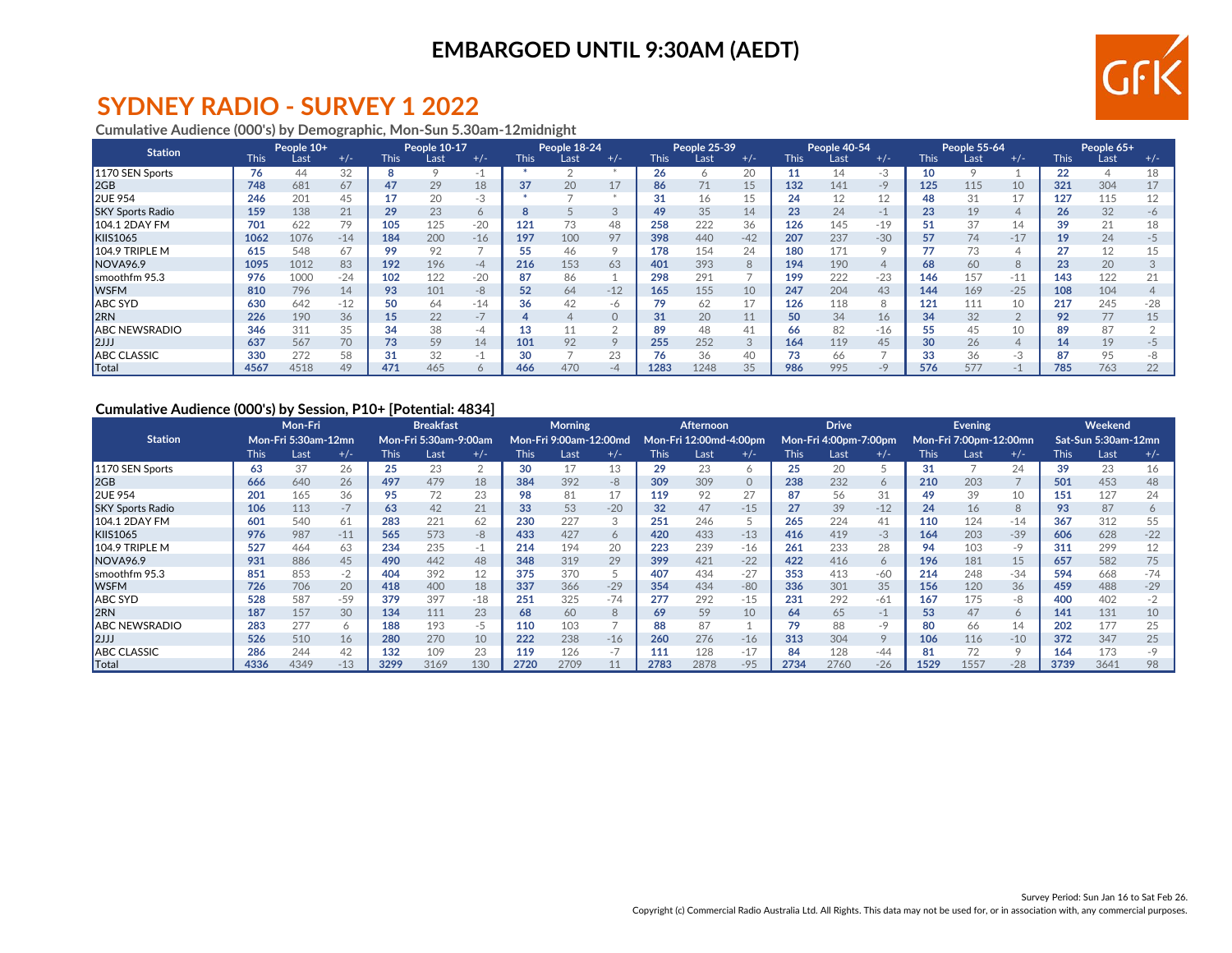## **EMBARGOED UNTIL 9:30AM (AEDT)**



## **SYDNEY RADIO - SURVEY 1 2022**

**Cumulative Audience (000's) by Demographic, Mon-Sun 5.30am-12midnight**

| <b>Station</b>          |             | People 10+ |       |             | People 10-17 |       |             | People 18-24 |          |             | People 25-39 |           |             | People 40-54 |       |             | <b>People 55-64</b> |                |             | People 65+ |       |
|-------------------------|-------------|------------|-------|-------------|--------------|-------|-------------|--------------|----------|-------------|--------------|-----------|-------------|--------------|-------|-------------|---------------------|----------------|-------------|------------|-------|
|                         | <b>This</b> | Last       | $+/-$ | <b>This</b> | Last         | $+/-$ | <b>This</b> | Last         | $+/-$    | <b>This</b> | Last         | $+/-$     | <b>This</b> | Last         | $+/-$ | <b>This</b> | Last                | $+/-$          | <b>This</b> | Last       | $+/-$ |
| 1170 SEN Sports         | 76          | 44         | 32    |             |              |       |             |              |          | 26          | 6            | 20        |             | 14           | -3    | 10          |                     |                | 22          |            | 18    |
| 2GB                     | 748         | 681        | 67    | 47          | 29           | 18    | 37          | 20           | 17       | 86          | 71           | 15        | 132         | 141          | $-9$  | 125         | 115                 | 10             | 321         | 304        | 17    |
| <b>2UE 954</b>          | 246         | 201        | 45    |             | 20           | -3    |             |              |          | 31          | 16           |           | 24          | 12           | 12    |             |                     | 17             | 127         | 115        | 12    |
| <b>SKY Sports Radio</b> | 159         | 138        | 21    | 29          | 23           | Ô     | $\sim$      |              | 3        | 49          | 35           | 14        | 23          | 24           | -1    | 23          | 19                  | 4              | 26          | 32         | -6    |
| <b>104.1 2DAY FM</b>    | 701         | 622        | 79    | 105         | 125          | $-20$ | 121         | 73           | 48       | 258         | 222          | 36        | 126         | 145          | $-19$ |             |                     | 14             | 39          | 21         | 18    |
| <b>KIIS1065</b>         | 1062        | 1076       | $-14$ | 184         | 200          | $-16$ | 197         | 100          | 97       | 398         | 440          | $-42$     | 207         | 237          | $-30$ | 57          | 74                  | $-17$          | 19          | 24         | $-5$  |
| 104.9 TRIPLE M          | 615         | 548        | 67    | 99          | 92           |       | 55          | 46           | 9        | 178         | 154          | 24        | 180         | 171          |       |             |                     | 4              | 27          | 12         | 15    |
| NOVA <sub>96.9</sub>    | 1095        | 1012       | 83    | 192         | 196          | $-4$  | 216         | 153          | 63       | 401         | 393          | 8         | 194         | 190          |       | 68          | 60                  | 8              | 23          | 20         |       |
| Ismoothfm 95.3          | 976         | 1000       | $-24$ | 102         | 122          | $-20$ | 87          | 86           |          | 298         | 291          |           | 199         | 222          | $-23$ | 146         | 157                 | $-11$          | 143         | 122        | 21    |
| <b>WSFM</b>             | 810         | 796        | 14    | 93          | 101          | -8    | 52          | 64           | $-12$    | 165         | 155          | 10        | 247         | 204          | 43    | 144         | 169                 | $-25$          | 108         | 104        |       |
| ABC SYD                 | 630         | 642        | $-12$ | 50          | 64           | $-14$ | 36          | 42           | -6       | 79          | 62           |           | 126         | 118          |       | 121         | 111                 | 10             | 217         | 245        | $-28$ |
| l2RN                    | 226         | 190        | 36    | 15          | 22           |       |             |              | $\Omega$ | 31          | 20           | 11        | 50          | 34           | 16    | 34          | 32                  | $\overline{2}$ | 92          | 77         | 15    |
| <b>ABC NEWSRADIO</b>    | 346         | 311        | 35    | 34          | 38           | -4    |             |              |          | 89          | 48           | 41        | 66          | 82           | -16   | 55          |                     | 10             | 89          | 87         |       |
| $\vert$ 2JJJ            | 637         | 567        | 70    | 73          | 59           | 14    | 101         | 92           | 9        | 255         | 252          | $\bigcap$ | 164         | 119          | 45    | 30          | 26                  | $\overline{4}$ | 14          | 19         | -5    |
| <b>ABC CLASSIC</b>      | 330         | 272        | 58    | 31          | 32           | -1    | 30          |              | 23       | 76          | 36           | 40        | 73          | 66           |       | 33          | 36                  | -3             | 87          | 95         | -8    |
| Total                   | 4567        | 4518       | 49    | 471         | 465          |       | 466         | 470          | $-4$     | 1283        | 1248         | 35        | 986         | 995          |       | 576         | 577                 |                | 785         | 763        | 22    |

#### **Cumulative Audience (000's) by Session, P10+ [Potential: 4834]**

|                         | Mon-Fri |                     |       | <b>Breakfast</b> |                              |       | <b>Morning</b> |                        |       | <b>Afternoon</b> |                        |          |             | <b>Drive</b>          |       |             | Evening,               |         | <b>Weekend</b> |                     |       |
|-------------------------|---------|---------------------|-------|------------------|------------------------------|-------|----------------|------------------------|-------|------------------|------------------------|----------|-------------|-----------------------|-------|-------------|------------------------|---------|----------------|---------------------|-------|
| <b>Station</b>          |         | Mon-Fri 5:30am-12mn |       |                  | <b>Mon-Fri 5:30am-9:00am</b> |       |                | Mon-Fri 9:00am-12:00md |       |                  | Mon-Fri 12:00md-4:00pm |          |             | Mon-Fri 4:00pm-7:00pm |       |             | Mon-Fri 7:00pm-12:00mn |         |                | Sat-Sun 5:30am-12mn |       |
|                         | This    | Last                | $+/-$ | <b>This</b>      | Last                         | $+/-$ | This           | Last                   | $+/-$ | <b>This</b>      | Last                   | $+/-$    | <b>This</b> | Last                  | $+/-$ | <b>This</b> | Last                   | $+/-$   | <b>This</b>    | Last                | $+/-$ |
| 1170 SEN Sports         | 63      | 37                  | 26    | 25               | 23                           |       | 30             |                        | 13    | 29               | 23                     |          | 25          | 20                    |       | 31          |                        | 24      | 39             | 23                  | 16    |
| 2GB                     | 666     | 640                 | 26    | 497              | 479                          | 18    | 384            | 392                    | -8    | 309              | 309                    | $\Omega$ | 238         | 232                   | 6     | 210         | 203                    |         | 501            | 453                 | 48    |
| <b>2UE 954</b>          | 201     | 165                 | 36    | 95               | 72                           | 23    | 98             |                        | 17    | 119              | 92                     | 27       | 87          | 56                    | 31    | 49          | 39                     | 10      | 151            | 127                 | 24    |
| <b>SKY Sports Radio</b> | 106     | 113                 | $-7$  | 63               | 42                           | 21    | 33             | 53                     | $-20$ | 32               | 47                     | $-15$    | 27          | 39                    | $-12$ | 24          | 16                     | 8       | 93             | 87                  |       |
| <b>104.1 2DAY FM</b>    | 601     | 540                 | 61    | 283              | 221                          | 62    | 230            | 227                    | 3     | 251              | 246                    |          | 265         | 224                   | 41    | 110         | 124                    | $-14$   | 367            | 312                 | 55    |
| <b>KIIS1065</b>         | 976     | 987                 | $-11$ | 565              | 573                          | -8    | 433            | 427                    | 6     | 420              | 433                    | $-13$    | 416         | 419                   | $-3$  | 164         | 203                    | $-39$   | 606            | 628                 | $-22$ |
| $104.9$ TRIPLE M        | 527     | 464                 | 63    | 234              | 235                          | -1    | 214            | 194                    | 20    | 223              | 239                    | $-16$    | 261         | 233                   | 28    | 94          | 103                    | -9      | 311            | 299                 | 12    |
| NOVA <sub>96.9</sub>    | 931     | 886                 | 45    | 490              | 442                          | 48    | 348            | 319                    | 29    | 399              | 421                    | $-22$    | 422         | 416                   | 6     | 196         | 181                    | 15      | 657            | 582                 | 75    |
| smoothfm 95.3           | 851     | 853                 | $-2$  | 404              | 392                          | 12    | 375            | 370                    | 5     | 407              | 434                    | $-27$    | 353         | 413                   | $-60$ | 214         | 248                    | $-34$   | 594            | 668                 | $-74$ |
| <b>IWSFM</b>            | 726     | 706                 | 20    | 418              | 400                          | 18    | 337            | 366                    | $-29$ | 354              | 434                    | $-80$    | 336         | 301                   | 35    | 156         | 120                    | 36      | 459            | 488                 | $-29$ |
| ABC SYD                 | 528     | 587                 | $-59$ | 379              | 397                          | $-18$ | 251            | 325                    | $-74$ | 277              | 292                    | $-15$    | 231         | 292                   | -61   | 167         | 175                    | -8      | 400            | 402                 | $-2$  |
| 2RN                     | 187     | 157                 | 30    | 134              | 111                          | 23    | 68             | 60                     | 8     | 69               | 59                     | 10       | 64          | 65                    | $-1$  | 53          | 47                     | 6       | 141            | 131                 | 10    |
| <b>ABC NEWSRADIO</b>    | 283     | 277                 | 6     | 188              | 193                          | -5    | 110            | 103                    |       | 88               | 87                     |          | 79          | 88                    | $-9$  | 80          | 66                     | 14      | 202            | 177                 | 25    |
| 2JJ                     | 526     | 510                 | 16    | 280              | 270                          | 10    | 222            | 238                    | $-16$ | 260              | 276                    | $-16$    | 313         | 304                   |       | 106         | 116                    | $-10$   | 372            | 347                 | 25    |
| <b>ABC CLASSIC</b>      | 286     | 244                 | 42    | 132              | 109                          | 23    | 119            | 126                    | $-7$  | 111              | 128                    | $-17$    | 84          | 128                   | $-44$ | 81          |                        | $\circ$ | 164            | 173                 |       |
| Total                   | 4336    | 4349                | $-13$ | 3299             | 3169                         | 130   | 2720           | 2709                   |       | 2783             | 2878                   | $-95$    | 2734        | 2760                  | $-26$ | 1529        | 1557                   | $-28$   | 3739           | 3641                | 98    |